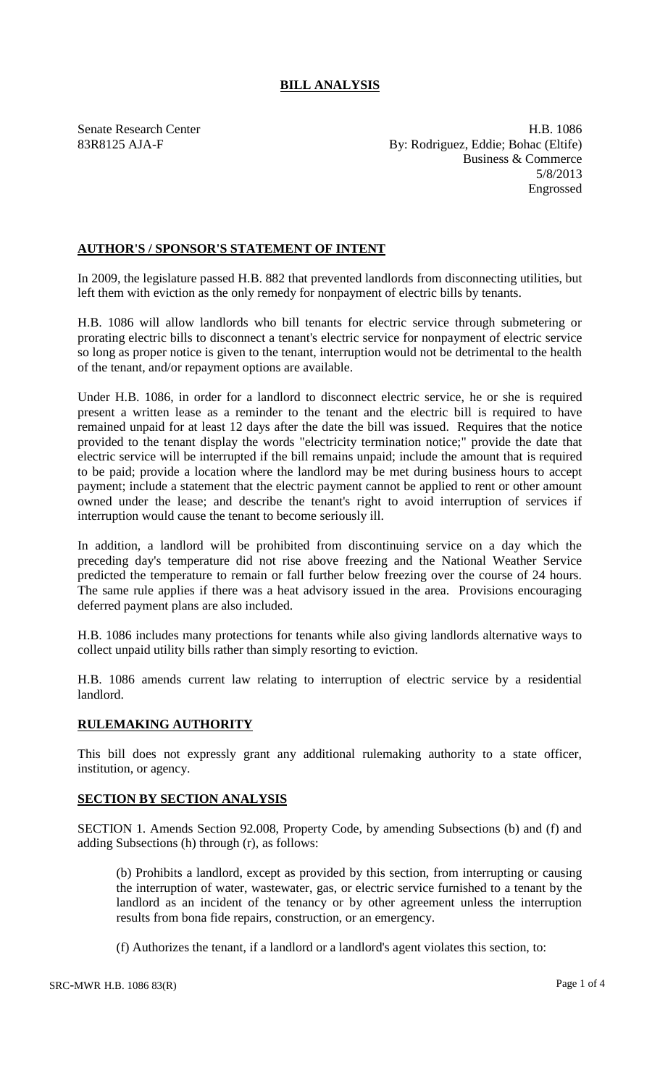## **BILL ANALYSIS**

Senate Research Center **H.B. 1086** 83R8125 AJA-F By: Rodriguez, Eddie; Bohac (Eltife) Business & Commerce 5/8/2013 Engrossed

## **AUTHOR'S / SPONSOR'S STATEMENT OF INTENT**

In 2009, the legislature passed H.B. 882 that prevented landlords from disconnecting utilities, but left them with eviction as the only remedy for nonpayment of electric bills by tenants.

H.B. 1086 will allow landlords who bill tenants for electric service through submetering or prorating electric bills to disconnect a tenant's electric service for nonpayment of electric service so long as proper notice is given to the tenant, interruption would not be detrimental to the health of the tenant, and/or repayment options are available.

Under H.B. 1086, in order for a landlord to disconnect electric service, he or she is required present a written lease as a reminder to the tenant and the electric bill is required to have remained unpaid for at least 12 days after the date the bill was issued. Requires that the notice provided to the tenant display the words "electricity termination notice;" provide the date that electric service will be interrupted if the bill remains unpaid; include the amount that is required to be paid; provide a location where the landlord may be met during business hours to accept payment; include a statement that the electric payment cannot be applied to rent or other amount owned under the lease; and describe the tenant's right to avoid interruption of services if interruption would cause the tenant to become seriously ill.

In addition, a landlord will be prohibited from discontinuing service on a day which the preceding day's temperature did not rise above freezing and the National Weather Service predicted the temperature to remain or fall further below freezing over the course of 24 hours. The same rule applies if there was a heat advisory issued in the area. Provisions encouraging deferred payment plans are also included.

H.B. 1086 includes many protections for tenants while also giving landlords alternative ways to collect unpaid utility bills rather than simply resorting to eviction.

H.B. 1086 amends current law relating to interruption of electric service by a residential landlord.

## **RULEMAKING AUTHORITY**

This bill does not expressly grant any additional rulemaking authority to a state officer, institution, or agency.

## **SECTION BY SECTION ANALYSIS**

SECTION 1. Amends Section 92.008, Property Code, by amending Subsections (b) and (f) and adding Subsections (h) through (r), as follows:

(b) Prohibits a landlord, except as provided by this section, from interrupting or causing the interruption of water, wastewater, gas, or electric service furnished to a tenant by the landlord as an incident of the tenancy or by other agreement unless the interruption results from bona fide repairs, construction, or an emergency.

(f) Authorizes the tenant, if a landlord or a landlord's agent violates this section, to: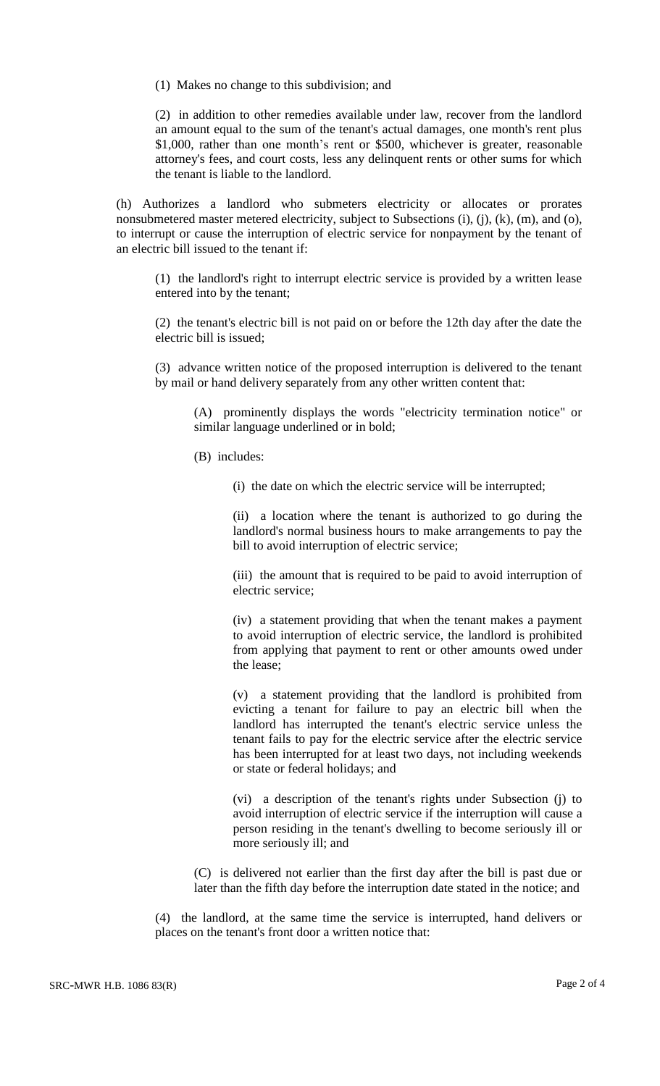(1) Makes no change to this subdivision; and

(2) in addition to other remedies available under law, recover from the landlord an amount equal to the sum of the tenant's actual damages, one month's rent plus \$1,000, rather than one month's rent or \$500, whichever is greater, reasonable attorney's fees, and court costs, less any delinquent rents or other sums for which the tenant is liable to the landlord.

(h) Authorizes a landlord who submeters electricity or allocates or prorates nonsubmetered master metered electricity, subject to Subsections (i), (j), (k), (m), and (o), to interrupt or cause the interruption of electric service for nonpayment by the tenant of an electric bill issued to the tenant if:

(1) the landlord's right to interrupt electric service is provided by a written lease entered into by the tenant;

(2) the tenant's electric bill is not paid on or before the 12th day after the date the electric bill is issued;

(3) advance written notice of the proposed interruption is delivered to the tenant by mail or hand delivery separately from any other written content that:

(A) prominently displays the words "electricity termination notice" or similar language underlined or in bold;

- (B) includes:
	- (i) the date on which the electric service will be interrupted;

(ii) a location where the tenant is authorized to go during the landlord's normal business hours to make arrangements to pay the bill to avoid interruption of electric service;

(iii) the amount that is required to be paid to avoid interruption of electric service;

(iv) a statement providing that when the tenant makes a payment to avoid interruption of electric service, the landlord is prohibited from applying that payment to rent or other amounts owed under the lease;

(v) a statement providing that the landlord is prohibited from evicting a tenant for failure to pay an electric bill when the landlord has interrupted the tenant's electric service unless the tenant fails to pay for the electric service after the electric service has been interrupted for at least two days, not including weekends or state or federal holidays; and

(vi) a description of the tenant's rights under Subsection (j) to avoid interruption of electric service if the interruption will cause a person residing in the tenant's dwelling to become seriously ill or more seriously ill; and

(C) is delivered not earlier than the first day after the bill is past due or later than the fifth day before the interruption date stated in the notice; and

(4) the landlord, at the same time the service is interrupted, hand delivers or places on the tenant's front door a written notice that: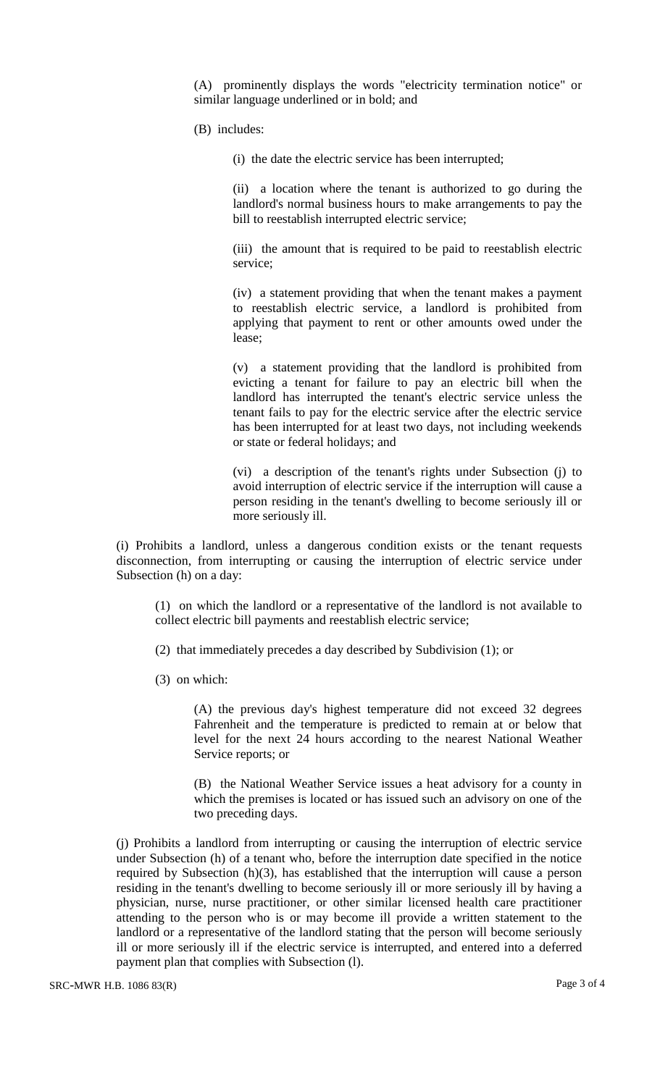(A) prominently displays the words "electricity termination notice" or similar language underlined or in bold; and

(B) includes:

(i) the date the electric service has been interrupted;

(ii) a location where the tenant is authorized to go during the landlord's normal business hours to make arrangements to pay the bill to reestablish interrupted electric service;

(iii) the amount that is required to be paid to reestablish electric service;

(iv) a statement providing that when the tenant makes a payment to reestablish electric service, a landlord is prohibited from applying that payment to rent or other amounts owed under the lease;

(v) a statement providing that the landlord is prohibited from evicting a tenant for failure to pay an electric bill when the landlord has interrupted the tenant's electric service unless the tenant fails to pay for the electric service after the electric service has been interrupted for at least two days, not including weekends or state or federal holidays; and

(vi) a description of the tenant's rights under Subsection (j) to avoid interruption of electric service if the interruption will cause a person residing in the tenant's dwelling to become seriously ill or more seriously ill.

(i) Prohibits a landlord, unless a dangerous condition exists or the tenant requests disconnection, from interrupting or causing the interruption of electric service under Subsection (h) on a day:

(1) on which the landlord or a representative of the landlord is not available to collect electric bill payments and reestablish electric service;

(2) that immediately precedes a day described by Subdivision (1); or

(3) on which:

(A) the previous day's highest temperature did not exceed 32 degrees Fahrenheit and the temperature is predicted to remain at or below that level for the next 24 hours according to the nearest National Weather Service reports; or

(B) the National Weather Service issues a heat advisory for a county in which the premises is located or has issued such an advisory on one of the two preceding days.

(j) Prohibits a landlord from interrupting or causing the interruption of electric service under Subsection (h) of a tenant who, before the interruption date specified in the notice required by Subsection (h)(3), has established that the interruption will cause a person residing in the tenant's dwelling to become seriously ill or more seriously ill by having a physician, nurse, nurse practitioner, or other similar licensed health care practitioner attending to the person who is or may become ill provide a written statement to the landlord or a representative of the landlord stating that the person will become seriously ill or more seriously ill if the electric service is interrupted, and entered into a deferred payment plan that complies with Subsection (l).